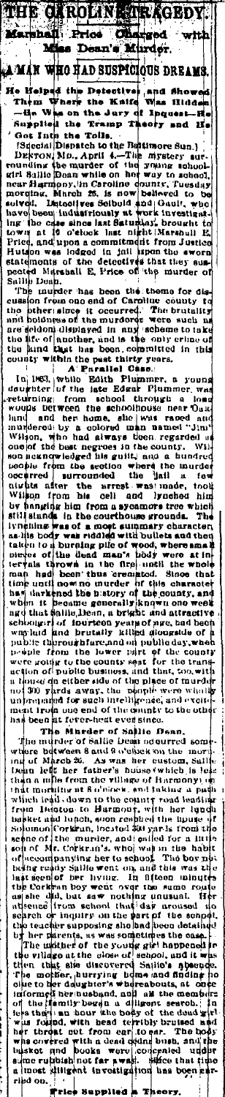rlirder. MAN WHO HAD SUSPICIOUS DREAMS maa. ٠ and

чÝ

E GARO ж

The Heipsiq ...<br>
Them Where the Heipsiq ...<br>  $\frac{1}{2}$  Them When the Jury<br>
Supplied the Tramp Theory<br>
Supplied the Tramp Theory<br>
Supplied the Tolls.<br>
Discontinue Discovery Mo., April 4.—The myself<br>
Discovery Mo., April 4. imore<br>mirstery sur<br>\*\*\* school Descomponent to tu<br>Descon Mo., April 4.-<br>cunding the murder of  $\overline{10}$ sabe Ä. represent Caroline country. These<br>ord, Mirch 25, is now beloved to<br>cd; Discovered to Solbud and Cault, we<br>hold and cault with the set of the control of the control of<br>the computer of the control of the control of the contr ounty, .<br>Tui es das morqin ulvol.<br>ISVO DBC rbo s investig<br>brought lno ÷. .<br>V 14 ۵Ś ū and from Justice<br>It signal the aworm<br>ives that they sumed Price Hutson was in.<br>tatelm.<br>salilp Denp.<br>salilp Denp.<br>"me nurder"<br>"me"

peace we were the solutions of the same of the country of the country of the country of the country of the peace of the peace of the peace of the peace of the peace of the peace of the matching of the matching of the match and children and the main of the only of the state of another, and is the only of the final that has been committed county within the past thirty years. only erline  $\mathbf{u}$  $\mathbf{f}$ īн

A Parallel Case.<br>slic Edith Plumme In 1863, while<br>doughter of the<br>returning from  $\mathbf{I} \mathbf{n}$ mer, a youn;<br>Plummer, wa  $\overline{w}$ school through ă.  $ner$ ົດ.<br>ປະເ i be.<br>and he<br>⊸\iby wood<br>hind and<br>mundered r<br>d`nu<br>"Jim" ra oed<br>. ghe ne j<br>m was sume, sume, sume, sume, sume, sume, sume, sume, sume, sume, sume, sume, sume, sume, sume, sume, sume, sume, sume, sume, sume, sume, sume, sume, sume, sume, sume, sume, sume, sume, sume, sume, sume, sume, sume, sume, sume, 'n namod d man names Antario<br>
Mays been regardes<br>
antarious and a hundred<br>
antarious where the muddle and<br>
d the hall a .<br>Wil one of best negroes ..<br>ieknowi<br>ie from 'nh bunde ioplu ™<br>eda nio<br>ection whe<br>uded the the murd × n cue section<br>ar the arm<br>im his cell oocurred<br>oocurred<br>nivbta n .<br>fo made ndrav arrest rasi tool ..<br>Viil .<br>IOD hi. .<br>!rom cell and Irached hin hanging him from a sycamore tree thanging him from a sycamore tree t o which till stand **Th** striething in the courthouse grounds. The<br>lynehing was of a most summary character<br>as lils body was riddled with builets and then dy taken to a bu<br>pieces of the<br>tervals throw burning pile of wood, where and the nowa ïn .<br>tii the  $f(r)$  un the v rown<br>been thus and the unit form in the credit of this charactery of the unit now no untrief of this charactery of the country, and the state when it people generally known no week when it people generally known on week when it for the us tarow<br>had be<br>until no ւ<br>սոր that time . . . . . . . . . and<br>vu ono week<br>ul . . . and that shalls heart a bright and attractive way in the basic of the pair of the pair of the pair of the pair of the control of public through the public through the public through the control of public through the contro

The multicler of Same weaker of Same where between 8 and 6 obthock on a where between 8 and 6 obthock on a mind of March 22. As was her custom, Saliton in the and her false option of the country and beside the third for t è łп lundh ė A ľ ۱.  $\mathbf{u}$  $\frac{1}{2}$  and  $\frac{1}{2}$  are  $\frac{1}{2}$  and  $\frac{1}{2}$  are  $\frac{1}{2}$  are  $\frac{1}{2}$  are  $\frac{1}{2}$  and  $\frac{1}{2}$  are  $\frac{1}{2}$  and  $\frac{1}{2}$  are  $\frac{1}{2}$  are  $\frac{1}{2}$  are  $\frac{1}{2}$  are  $\frac{1}{2}$  are  $\frac{1}{2}$  and  $\frac{1}{2}$  a ەە d b,

es the case.<br>It happened fr by her parents, as we were the slope of the present the village at the close of scape), and it with the the site of the year of Scape and finding the space of the parents of the content of the content of the class of the s 'n, r fio<br>0 mbdre  $\frac{1}{2}$  search. In  $\begin{array}{c} w \mu \\ h \tau \end{array}$ đ us round, with head terrible<br>the covered with a dead dollar<br>he covered with a dead dollar<br>sket and books were contracted with a dead dollar<br>sket and books were contracted<br>the dividend in the contraction Į, to ear.<br>odni bush a b<br>and and a<br>er ; սվմ processied<br>suffice that time<br>in has boen gar b Ā ið ou

.<br>Priz  $\mathbf{a}$ ıp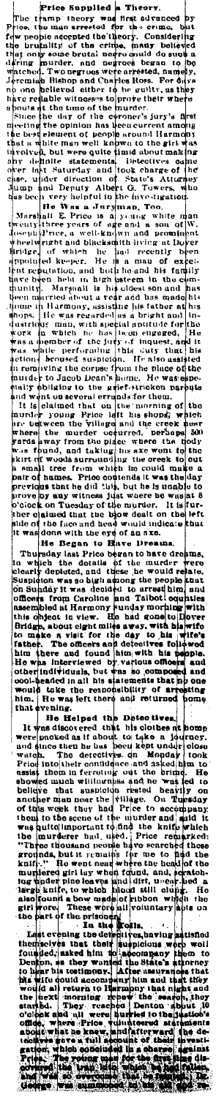Fire them a terred for the range bind of the range of the strength of the strength of the propine accepted the increase of the propine accepted the crisis. And the crisis that the bind in the crisis of the crisis of the c

... was uous with the org of an axe.<br>
In Began to Have Preame.<br>
Thursday last Prico beyen to have dreams.<br>
Thursday last Prico beyen to have dreams.<br>
Suspicion was so high agroom the people khat<br>
consulted, and these he w

would take the restorations of the moment of the moment in Her and returned borne that evening. It was disobered that his cloibes at home were probable at a bout to this a loost tend with the same were monical and the bout

Colear and all were nurses and anticonduction of the set of the set of the decomposition in the set of the set of the set of the set of the set of the set of the set of the set of the set of the set of the set of the set o